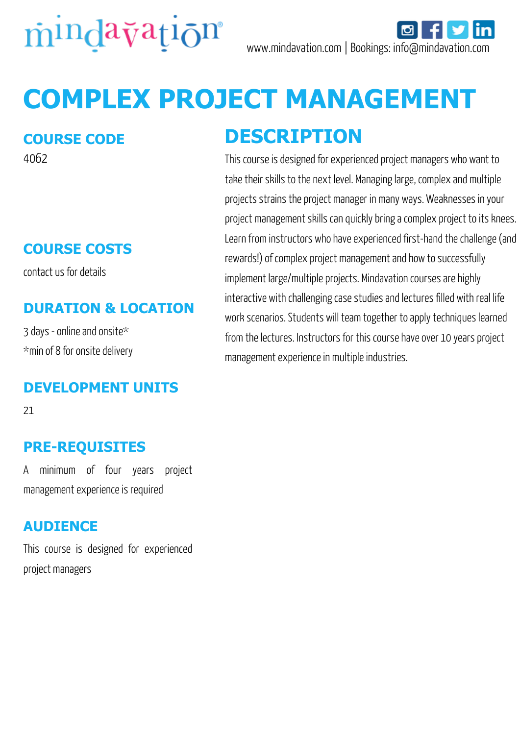

# **COMPLEX PROJECT MANAGEMENT**

#### **COURSE CODE**

4062

### **COURSE COSTS**

contact us for details

#### **DURATION & LOCATION**

3 days - online and onsite\* \*min of 8 for onsite delivery

#### **DEVELOPMENT UNITS**

21

#### **PRE-REQUISITES**

A minimum of four years project management experience is required

#### **AUDIENCE**

This course is designed for experienced project managers

## **DESCRIPTION**

This course is designed for experienced project managers who want to take their skills to the next level. Managing large, complex and multiple projects strains the project manager in many ways. Weaknesses in your project management skills can quickly bring a complex project to its knees. Learn from instructors who have experienced first-hand the challenge (and rewards!) of complex project management and how to successfully implement large/multiple projects. Mindavation courses are highly interactive with challenging case studies and lectures filled with real life work scenarios. Students will team together to apply techniques learned from the lectures. Instructors for this course have over 10 years project management experience in multiple industries.